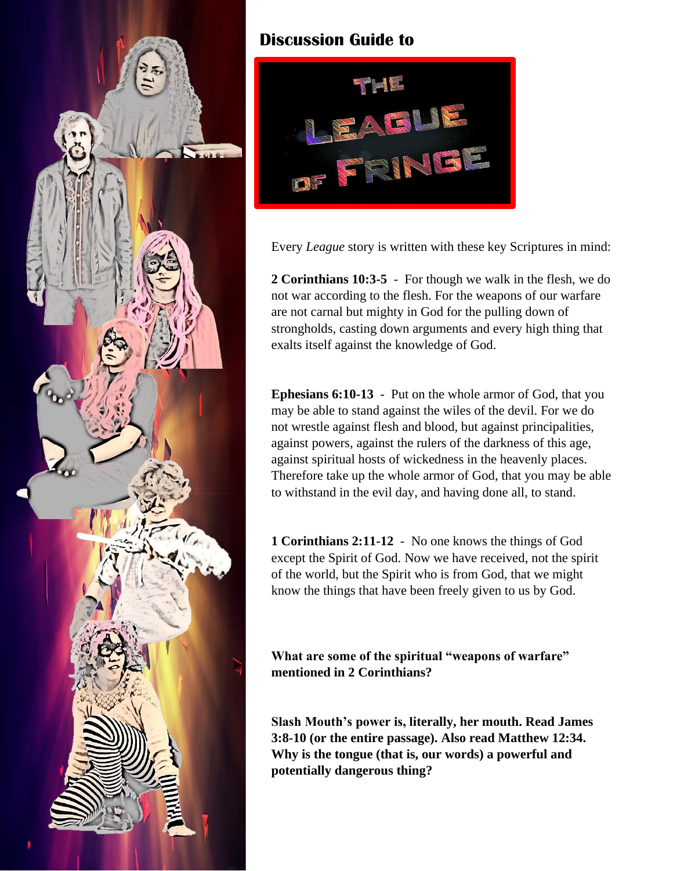

## **Discussion Guide to**



Every *League* story is written with these key Scriptures in mind:

**2 Corinthians 10:3-5** - For though we walk in the flesh, we do not war according to the flesh. For the weapons of our warfare are not carnal but mighty in God for the pulling down of strongholds, casting down arguments and every high thing that exalts itself against the knowledge of God.

**Ephesians 6:10-13** - Put on the whole armor of God, that you may be able to stand against the wiles of the devil. For we do not wrestle against flesh and blood, but against principalities, against powers, against the rulers of the darkness of this age, against spiritual hosts of wickedness in the heavenly places. Therefore take up the whole armor of God, that you may be able to withstand in the evil day, and having done all, to stand.

**1 Corinthians 2:11-12** - No one knows the things of God except the Spirit of God. Now we have received, not the spirit of the world, but the Spirit who is from God, that we might know the things that have been freely given to us by God.

**What are some of the spiritual "weapons of warfare" mentioned in 2 Corinthians?**

**Slash Mouth's power is, literally, her mouth. Read James 3:8-10 (or the entire passage). Also read Matthew 12:34. Why is the tongue (that is, our words) a powerful and potentially dangerous thing?**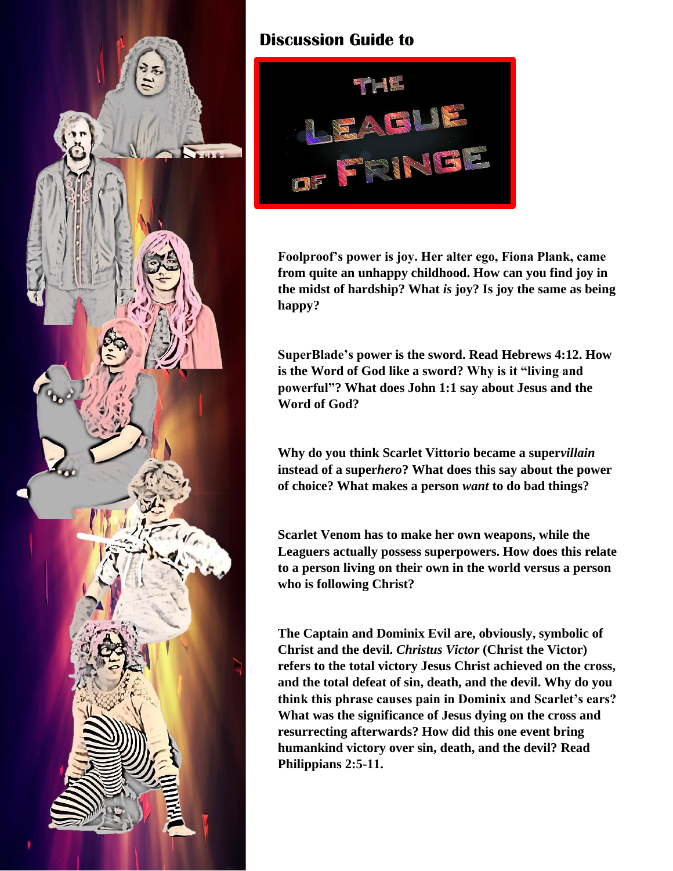

## **Discussion Guide to**



**Foolproof's power is joy. Her alter ego, Fiona Plank, came from quite an unhappy childhood. How can you find joy in the midst of hardship? What** *is* **joy? Is joy the same as being happy?**

**SuperBlade's power is the sword. Read Hebrews 4:12. How is the Word of God like a sword? Why is it "living and powerful"? What does John 1:1 say about Jesus and the Word of God?**

**Why do you think Scarlet Vittorio became a super***villain*  **instead of a super***hero***? What does this say about the power of choice? What makes a person** *want* **to do bad things?**

**Scarlet Venom has to make her own weapons, while the Leaguers actually possess superpowers. How does this relate to a person living on their own in the world versus a person who is following Christ?**

**The Captain and Dominix Evil are, obviously, symbolic of Christ and the devil.** *Christus Victor* **(Christ the Victor) refers to the total victory Jesus Christ achieved on the cross, and the total defeat of sin, death, and the devil. Why do you think this phrase causes pain in Dominix and Scarlet's ears? What was the significance of Jesus dying on the cross and resurrecting afterwards? How did this one event bring humankind victory over sin, death, and the devil? Read Philippians 2:5-11.**